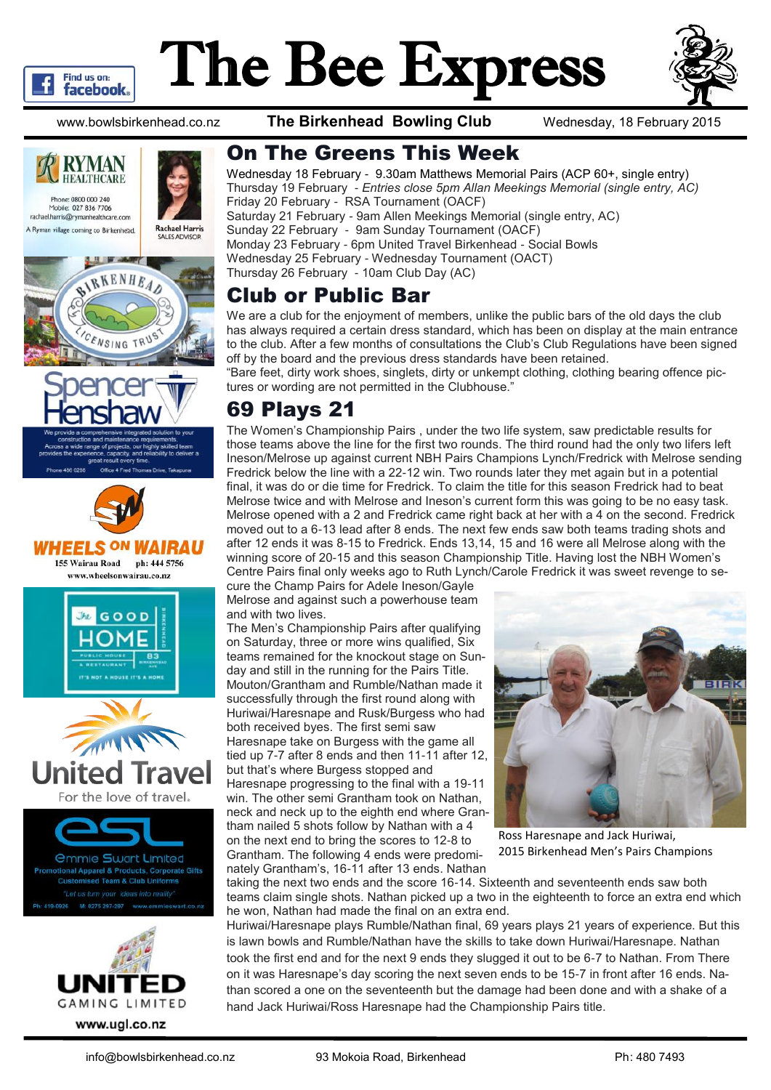

# The Bee Express



www.bowlsbirkenhead.co.nz **The Birkenhead Bowling Club** Wednesday, 18 February 2015







www.wheelsonwairau.co.nz









On The Greens This Week

Wednesday 18 February - 9.30am Matthews Memorial Pairs (ACP 60+, single entry) Thursday 19 February - *Entries close 5pm Allan Meekings Memorial (single entry, AC)* Friday 20 February - RSA Tournament (OACF) Saturday 21 February - 9am Allen Meekings Memorial (single entry, AC) Sunday 22 February - 9am Sunday Tournament (OACF) Monday 23 February - 6pm United Travel Birkenhead - Social Bowls Wednesday 25 February - Wednesday Tournament (OACT) Thursday 26 February - 10am Club Day (AC)

# Club or Public Bar

We are a club for the enjoyment of members, unlike the public bars of the old days the club has always required a certain dress standard, which has been on display at the main entrance to the club. After a few months of consultations the Club's Club Regulations have been signed off by the board and the previous dress standards have been retained.

"Bare feet, dirty work shoes, singlets, dirty or unkempt clothing, clothing bearing offence pictures or wording are not permitted in the Clubhouse."

# 69 Plays 21

The Women's Championship Pairs , under the two life system, saw predictable results for those teams above the line for the first two rounds. The third round had the only two lifers left Ineson/Melrose up against current NBH Pairs Champions Lynch/Fredrick with Melrose sending Fredrick below the line with a 22-12 win. Two rounds later they met again but in a potential final, it was do or die time for Fredrick. To claim the title for this season Fredrick had to beat Melrose twice and with Melrose and Ineson's current form this was going to be no easy task. Melrose opened with a 2 and Fredrick came right back at her with a 4 on the second. Fredrick moved out to a 6-13 lead after 8 ends. The next few ends saw both teams trading shots and after 12 ends it was 8-15 to Fredrick. Ends 13,14, 15 and 16 were all Melrose along with the winning score of 20-15 and this season Championship Title. Having lost the NBH Women's Centre Pairs final only weeks ago to Ruth Lynch/Carole Fredrick it was sweet revenge to se-

cure the Champ Pairs for Adele Ineson/Gayle Melrose and against such a powerhouse team and with two lives.

The Men's Championship Pairs after qualifying on Saturday, three or more wins qualified, Six teams remained for the knockout stage on Sunday and still in the running for the Pairs Title. Mouton/Grantham and Rumble/Nathan made it successfully through the first round along with Huriwai/Haresnape and Rusk/Burgess who had both received byes. The first semi saw Haresnape take on Burgess with the game all tied up 7-7 after 8 ends and then 11-11 after 12, but that's where Burgess stopped and Haresnape progressing to the final with a 19-11 win. The other semi Grantham took on Nathan, neck and neck up to the eighth end where Grantham nailed 5 shots follow by Nathan with a 4 on the next end to bring the scores to 12-8 to Grantham. The following 4 ends were predominately Grantham's, 16-11 after 13 ends. Nathan



Ross Haresnape and Jack Huriwai, 2015 Birkenhead Men's Pairs Champions

taking the next two ends and the score 16-14. Sixteenth and seventeenth ends saw both teams claim single shots. Nathan picked up a two in the eighteenth to force an extra end which he won, Nathan had made the final on an extra end.

Huriwai/Haresnape plays Rumble/Nathan final, 69 years plays 21 years of experience. But this is lawn bowls and Rumble/Nathan have the skills to take down Huriwai/Haresnape. Nathan took the first end and for the next 9 ends they slugged it out to be 6-7 to Nathan. From There on it was Haresnape's day scoring the next seven ends to be 15-7 in front after 16 ends. Nathan scored a one on the seventeenth but the damage had been done and with a shake of a hand Jack Huriwai/Ross Haresnape had the Championship Pairs title.